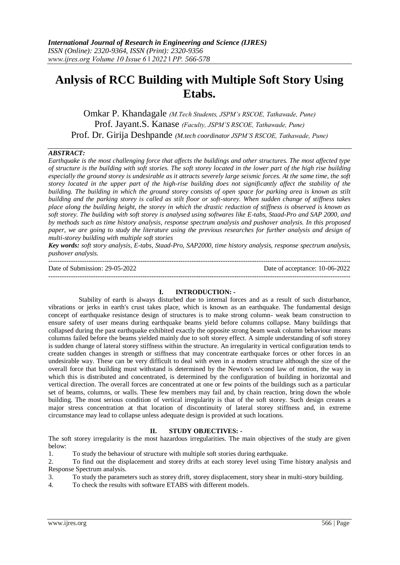# **Anlysis of RCC Building with Multiple Soft Story Using Etabs.**

Omkar P. Khandagale *(M.Tech Students, JSPM's RSCOE, Tathawade, Pune)* Prof. Jayant.S. Kanase *(Faculty, JSPM'S RSCOE, Tathawade, Pune)* Prof. Dr. Girija Deshpande *(M.tech coordinator JSPM'S RSCOE, Tathawade, Pune)*

# *ABSTRACT:*

*Earthquake is the most challenging force that affects the buildings and other structures. The most affected type of structure is the building with soft stories. The soft storey located in the lower part of the high rise building especially the ground storey is undesirable as it attracts severely large seismic forces. At the same time, the soft storey located in the upper part of the high-rise building does not significantly affect the stability of the building. The building in which the ground storey consists of open space for parking area is known as stilt building and the parking storey is called as stilt floor or soft-storey. When sudden change of stiffness takes place along the building height, the storey in which the drastic reduction of stiffness is observed is known as soft storey. The building with soft storey is analysed using softwares like E-tabs, Staad-Pro and SAP 2000, and by methods such as time history analysis, response spectrum analysis and pushover analysis. In this proposed paper, we are going to study the literature using the previous researches for further analysis and design of multi-storey building with multiple soft stories*

*Key words: soft story analysis, E-tabs, Staad-Pro, SAP2000, time history analysis, response spectrum analysis, pushover analysis.*

| Date of Submission: 29-05-2022 | Date of acceptance: 10-06-2022 |
|--------------------------------|--------------------------------|
|                                |                                |

### **I. INTRODUCTION: -**

Stability of earth is always disturbed due to internal forces and as a result of such disturbance, vibrations or jerks in earth's crust takes place, which is known as an earthquake. The fundamental design concept of earthquake resistance design of structures is to make strong column- weak beam construction to ensure safety of user means during earthquake beams yield before columns collapse. Many buildings that collapsed during the past earthquake exhibited exactly the opposite strong beam weak column behaviour means columns failed before the beams yielded mainly due to soft storey effect. A simple understanding of soft storey is sudden change of lateral storey stiffness within the structure. An irregularity in vertical configuration tends to create sudden changes in strength or stiffness that may concentrate earthquake forces or other forces in an undesirable way. These can be very difficult to deal with even in a modern structure although the size of the overall force that building must withstand is determined by the Newton's second law of motion, the way in which this is distributed and concentrated, is determined by the configuration of building in horizontal and vertical direction. The overall forces are concentrated at one or few points of the buildings such as a particular set of beams, columns, or walls. These few members may fail and, by chain reaction, bring down the whole building. The most serious condition of vertical irregularity is that of the soft storey. Such design creates a major stress concentration at that location of discontinuity of lateral storey stiffness and, in extreme circumstance may lead to collapse unless adequate design is provided at such locations.

## **II. STUDY OBJECTIVES: -**

The soft storey irregularity is the most hazardous irregularities. The main objectives of the study are given below:

1. To study the behaviour of structure with multiple soft stories during earthquake.

2. To find out the displacement and storey drifts at each storey level using Time history analysis and Response Spectrum analysis.

3. To study the parameters such as storey drift, storey displacement, story shear in multi-story building.

4. To check the results with software ETABS with different models.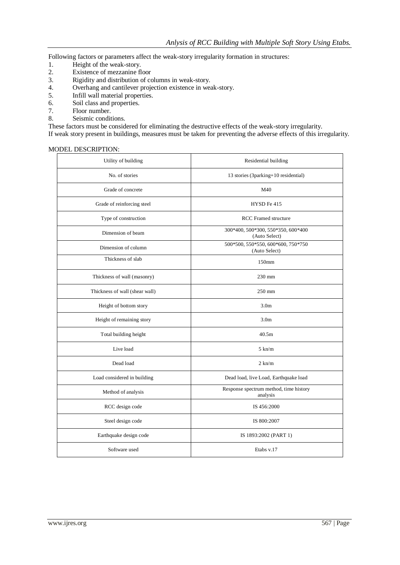Following factors or parameters affect the weak-story irregularity formation in structures:

- 1. Height of the weak-story.<br>2. Existence of mezzanine fl
- 2. Existence of mezzanine floor<br>3. Rigidity and distribution of co
- 3. Rigidity and distribution of columns in weak-story.<br>4. Overhang and cantilever projection existence in weak-
- 4. Overhang and cantilever projection existence in weak-story.<br>5. Infill wall material properties.
- 5. Infill wall material properties.
- 6. Soil class and properties.
- 7. Floor number.
- 8. Seismic conditions.

These factors must be considered for eliminating the destructive effects of the weak-story irregularity. If weak story present in buildings, measures must be taken for preventing the adverse effects of this irregularity.

## MODEL DESCRIPTION:

| Utility of building            | Residential building                                |
|--------------------------------|-----------------------------------------------------|
| No. of stories                 | 13 stories (3parking+10 residential)                |
| Grade of concrete              | M40                                                 |
| Grade of reinforcing steel     | HYSD Fe 415                                         |
| Type of construction           | <b>RCC</b> Framed structure                         |
| Dimension of beam              | 300*400, 500*300, 550*350, 600*400<br>(Auto Select) |
| Dimension of column            | 500*500, 550*550, 600*600, 750*750<br>(Auto Select) |
| Thickness of slab              | 150mm                                               |
| Thickness of wall (masonry)    | 230 mm                                              |
| Thickness of wall (shear wall) | 250 mm                                              |
| Height of bottom story         | 3.0 <sub>m</sub>                                    |
| Height of remaining story      | 3.0 <sub>m</sub>                                    |
| Total building height          | 40.5m                                               |
| Live load                      | $5 \text{ km/m}$                                    |
| Dead load                      | $2 \text{ km/m}$                                    |
| Load considered in building    | Dead load, live Load, Earthquake load               |
| Method of analysis             | Response spectrum method, time history<br>analysis  |
| RCC design code                | IS 456:2000                                         |
| Steel design code              | IS 800:2007                                         |
| Earthquake design code         | IS 1893:2002 (PART 1)                               |
| Software used                  | Etabs v.17                                          |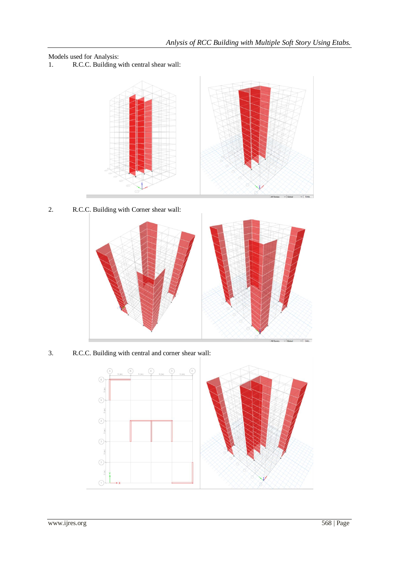Models used for Analysis:

1. R.C.C. Building with central shear wall:



2. R.C.C. Building with Corner shear wall:



3. R.C.C. Building with central and corner shear wall:

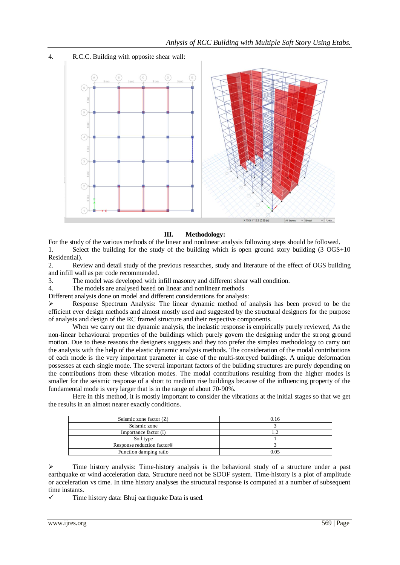

# **III. Methodology:**

For the study of the various methods of the linear and nonlinear analysis following steps should be followed. 1. Select the building for the study of the building which is open ground story building (3 OGS+10 Residential).

2. Review and detail study of the previous researches, study and literature of the effect of OGS building and infill wall as per code recommended.

3. The model was developed with infill masonry and different shear wall condition.

4. The models are analysed based on linear and nonlinear methods

Different analysis done on model and different considerations for analysis:

 Response Spectrum Analysis: The linear dynamic method of analysis has been proved to be the efficient ever design methods and almost mostly used and suggested by the structural designers for the purpose of analysis and design of the RC framed structure and their respective components.

When we carry out the dynamic analysis, the inelastic response is empirically purely reviewed, As the non-linear behavioural properties of the buildings which purely govern the designing under the strong ground motion. Due to these reasons the designers suggests and they too prefer the simplex methodology to carry out the analysis with the help of the elastic dynamic analysis methods. The consideration of the modal contributions of each mode is the very important parameter in case of the multi-storeyed buildings. A unique deformation possesses at each single mode. The several important factors of the building structures are purely depending on the contributions from these vibration modes. The modal contributions resulting from the higher modes is smaller for the seismic response of a short to medium rise buildings because of the influencing property of the fundamental mode is very larger that is in the range of about 70-90%.

Here in this method, it is mostly important to consider the vibrations at the initial stages so that we get the results in an almost nearer exactly conditions.

| Seismic zone factor $(Z)$              | 0.16 |
|----------------------------------------|------|
| Seismic zone                           |      |
| Importance factor (I)                  |      |
| Soil type                              |      |
| Response reduction factor <sup>®</sup> |      |
| Function damping ratio                 | 0.05 |

 $\triangleright$  Time history analysis: Time-history analysis is the behavioral study of a structure under a past earthquake or wind acceleration data. Structure need not be SDOF system. Time-history is a plot of amplitude or acceleration vs time. In time history analyses the structural response is computed at a number of subsequent time instants.

 $\checkmark$  Time history data: Bhuj earthquake Data is used.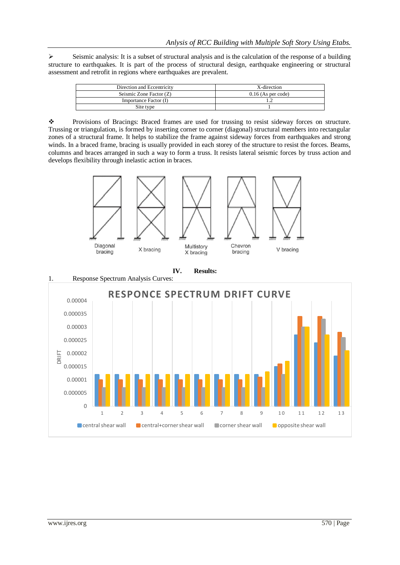$\triangleright$  Seismic analysis: It is a subset of structural analysis and is the calculation of the response of a building structure to earthquakes. It is part of the process of structural design, earthquake engineering or structural assessment and retrofit in regions where earthquakes are prevalent.

| Direction and Eccentricity | X-direction          |
|----------------------------|----------------------|
| Seismic Zone Factor (Z)    | $0.16$ (As per code) |
| Importance Factor (I)      |                      |
| Site type                  |                      |

 Provisions of Bracings: Braced frames are used for trussing to resist sideway forces on structure. Trussing or triangulation, is formed by inserting corner to corner (diagonal) structural members into rectangular zones of a structural frame. It helps to stabilize the frame against sideway forces from earthquakes and strong winds. In a braced frame, bracing is usually provided in each storey of the structure to resist the forces. Beams, columns and braces arranged in such a way to form a truss. It resists lateral seismic forces by truss action and develops flexibility through inelastic action in braces.





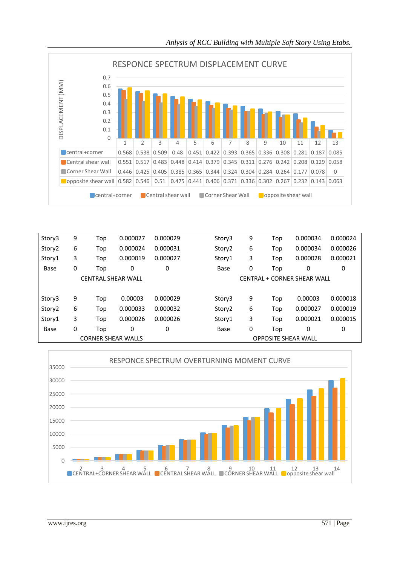

| Story3             | 9 | Top | 0.000027                  | 0.000029 | Story3             | 9 | Top                        | 0.000034                    | 0.000024 |
|--------------------|---|-----|---------------------------|----------|--------------------|---|----------------------------|-----------------------------|----------|
| Story <sub>2</sub> | 6 | Top | 0.000024                  | 0.000031 | Story <sub>2</sub> | 6 | Top                        | 0.000034                    | 0.000026 |
| Story1             | 3 | Top | 0.000019                  | 0.000027 | Story1             | 3 | Top                        | 0.000028                    | 0.000021 |
| Base               | 0 | Top | 0                         | 0        | Base               | 0 | Top                        | 0                           | 0        |
|                    |   |     | <b>CENTRAL SHEAR WALL</b> |          |                    |   |                            | CENTRAL + CORNER SHEAR WALL |          |
|                    |   |     |                           |          |                    |   |                            |                             |          |
| Story3             | 9 | Top | 0.00003                   | 0.000029 | Story3             | 9 | Top                        | 0.00003                     | 0.000018 |
| Story <sub>2</sub> | 6 | Top | 0.000033                  | 0.000032 | Story <sub>2</sub> | 6 | Top                        | 0.000027                    | 0.000019 |
| Story1             | 3 | Top | 0.000026                  | 0.000026 | Story1             | 3 | Top                        | 0.000021                    | 0.000015 |
| Base               | 0 | Top | 0                         | 0        | Base               | 0 | Top                        | 0                           | 0        |
|                    |   |     | <b>CORNER SHEAR WALLS</b> |          |                    |   | <b>OPPOSITE SHEAR WALL</b> |                             |          |

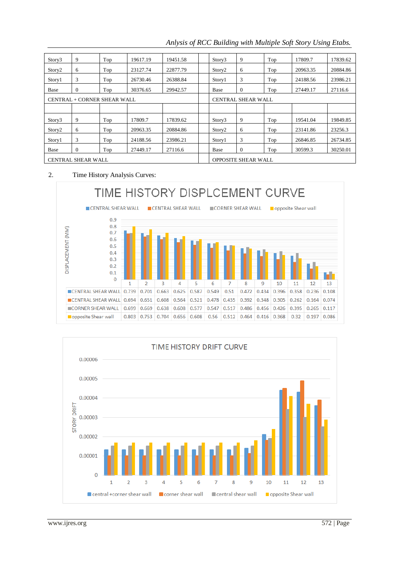| Story3                    | 9                           | Top | 19617.19 | 19451.58 | Story3                    | 9                          | Top | 17809.7  | 17839.62 |  |
|---------------------------|-----------------------------|-----|----------|----------|---------------------------|----------------------------|-----|----------|----------|--|
| Story <sub>2</sub>        | 6                           | Top | 23127.74 | 22877.79 | Story <sub>2</sub>        | 6                          | Top | 20963.35 | 20884.86 |  |
| Story1                    | 3                           | Top | 26730.46 | 26388.84 | Story1                    | 3                          | Top | 24188.56 | 23986.21 |  |
| Base                      | $\Omega$                    | Top | 30376.65 | 29942.57 | Base                      | $\theta$                   | Top | 27449.17 | 27116.6  |  |
|                           | CENTRAL + CORNER SHEAR WALL |     |          |          | <b>CENTRAL SHEAR WALL</b> |                            |     |          |          |  |
|                           |                             |     |          |          |                           |                            |     |          |          |  |
| Story3                    | 9                           | Top | 17809.7  | 17839.62 | Story3                    | 9                          | Top | 19541.04 | 19849.85 |  |
| Story <sub>2</sub>        | 6                           | Top | 20963.35 | 20884.86 | Story <sub>2</sub>        | 6                          | Top | 23141.86 | 23256.3  |  |
| Story1                    | 3                           | Top | 24188.56 | 23986.21 | Story1                    | 3                          | Top | 26846.85 | 26734.85 |  |
| Base                      | $\Omega$                    | Top | 27449.17 | 27116.6  | Base                      | $\theta$                   | Top | 30599.3  | 30250.01 |  |
| <b>CENTRAL SHEAR WALL</b> |                             |     |          |          |                           | <b>OPPOSITE SHEAR WALL</b> |     |          |          |  |

*Anlysis of RCC Building with Multiple Soft Story Using Etabs.*

# 2. Time History Analysis Curves:



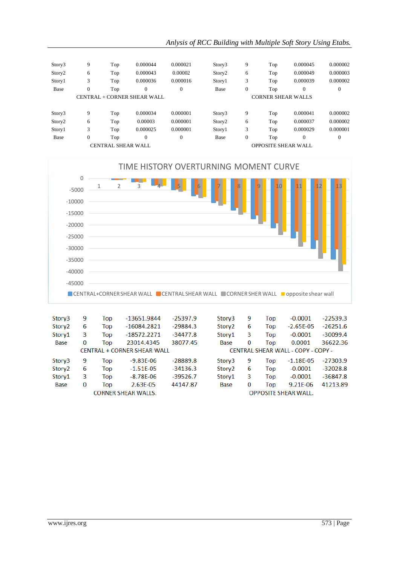| Story3             | 9            | Top                | 0.000044                    | 0.000021     | Story3             | 9        | Top                        | 0.000045 | 0.000002       |
|--------------------|--------------|--------------------|-----------------------------|--------------|--------------------|----------|----------------------------|----------|----------------|
| Story <sub>2</sub> | 6            | Top                | 0.000043                    | 0.00002      | Story <sub>2</sub> | 6        | Top                        | 0.000049 | 0.000003       |
| Story1             | 3            | Top                | 0.000036                    | 0.000016     | Story1             | 3        | Top                        | 0.000039 | 0.000002       |
| Base               | 0            | Top                | $\Omega$                    | $\mathbf{0}$ | Base               | $\theta$ | Top                        | 0        | $\Omega$       |
|                    |              |                    | CENTRAL + CORNER SHEAR WALL |              |                    |          | <b>CORNER SHEAR WALLS</b>  |          |                |
|                    |              |                    |                             |              |                    |          |                            |          |                |
| Story3             | 9            | Top                | 0.000034                    | 0.000001     | Story3             | 9        | Top                        | 0.000041 | 0.000002       |
| Story <sub>2</sub> | 6            | Top                | 0.00003                     | 0.000001     | Story <sub>2</sub> | 6        | Top                        | 0.000037 | 0.000002       |
| Story1             | 3            | Top                | 0.000025                    | 0.000001     | Story1             | 3        | Top                        | 0.000029 | 0.000001       |
| Base               | $\mathbf{0}$ | Top                | $\overline{0}$              | $\mathbf{0}$ | Base               | $\theta$ | Top                        | 0        | $\overline{0}$ |
|                    |              | CENTRAL SHEAR WALL |                             |              |                    |          | <b>OPPOSITE SHEAR WALL</b> |          |                |



| Story3             | 9        | Top | $-13651.9844$               | $-25397.9$ | Story3             | 9        | Top | $-0.0001$                          | $-22539.3$ |
|--------------------|----------|-----|-----------------------------|------------|--------------------|----------|-----|------------------------------------|------------|
| Story <sub>2</sub> | 6        | Top | $-16084.2821$               | $-29884.3$ | Story <sub>2</sub> | 6        | Top | $-2.65E-05$                        | $-26251.6$ |
| Story1             | 3        | Top | $-18572.2271$               | $-34477.8$ | Story1             | 3        | Top | $-0.0001$                          | $-30099.4$ |
| Base               | $\Omega$ | Top | 23014.4345                  | 38077.45   | Base               | 0        | Top | 0.0001                             | 36622.36   |
|                    |          |     | CENTRAL + CORNER SHEAR WALL |            |                    |          |     | CENTRAL SHEAR WALL - COPY - COPY - |            |
| Story3             | 9        | Top | $-9.83E - 06$               | $-28889.8$ | Story3             | 9        | Top | $-1.18E - 05$                      | $-27303.9$ |
| Story <sub>2</sub> | 6        | Top | $-1.51E-05$                 | $-34136.3$ | Story <sub>2</sub> | 6        | Top | $-0.0001$                          | $-32028.8$ |
| Story1             | 3        | Top | $-8.78E - 06$               | $-39526.7$ | Story1             | 3        | Top | $-0.0001$                          | $-36847.8$ |
| <b>Base</b>        | $\Omega$ | Top | 2.63E-05                    | 44147.87   | Base               | $\Omega$ | Top | 9.21E-06                           | 41213.89   |
|                    |          |     | <b>CORNER SHEAR WALLS.</b>  |            |                    |          |     | <b>OPPOSITE SHEAR WALL.</b>        |            |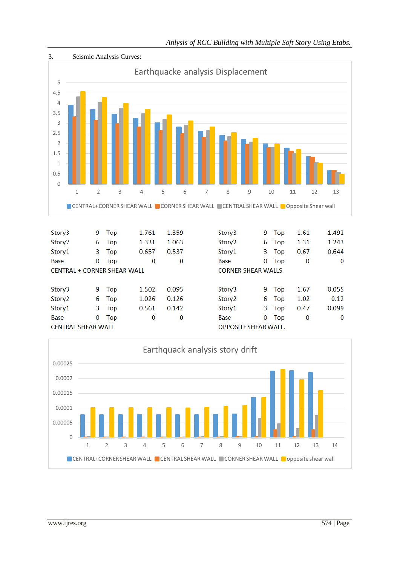

Story<sub>2</sub> 1.026 0.126 Story<sub>2</sub> 6 Top 6 Top 1.02 Story1 0.561 0.142 Story1 3 0.47 3 Top Top Base  $\bf{0}$  $\overline{0}$ Top  $\overline{0}$ 0 Top **Base** 0 **CENTRAL SHEAR WALL** OPPOSITE SHEAR WALL.



 $0.12$ 

0.099

 $\bf{0}$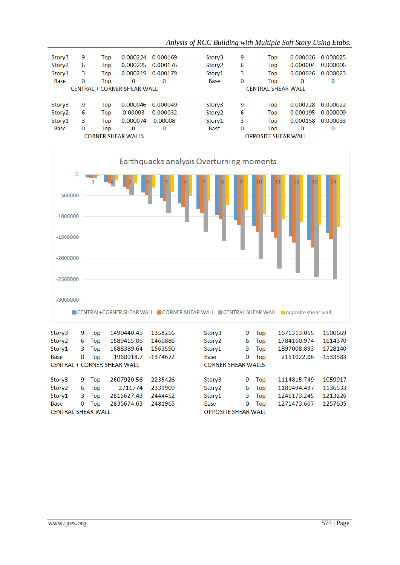| 9                                  | Top | 0.000224 | 0.000169 | Story3             | 9 | Top | 0.000026 | 0.000025                                                |
|------------------------------------|-----|----------|----------|--------------------|---|-----|----------|---------------------------------------------------------|
| 6                                  | Top | 0.000225 | 0.000176 | Story <sub>2</sub> | 6 | Top | 0.000004 | 0.000006                                                |
| 3                                  | Top | 0.000219 | 0.000179 | Story1             | 3 | Top | 0.000026 | 0.000023                                                |
| 0                                  | Top | $\bf{0}$ | 0        | <b>Base</b>        | 0 | Top | 0        | 0                                                       |
| <b>CENTRAL + CORNER SHEAR WALL</b> |     |          |          |                    |   |     |          |                                                         |
|                                    |     |          |          |                    |   |     |          |                                                         |
| 9                                  | Top | 0.000046 | 0.000049 | Story3             | 9 | Top | 0.000228 | 0.000022                                                |
| 6                                  | Top | 0.00003  | 0.000032 | Story <sub>2</sub> | 6 | Top | 0.000195 | 0.000009                                                |
| 3                                  | Top | 0.000074 | 0.00008  | Story1             | 3 | Top | 0.000158 | 0.000033                                                |
| 0                                  | Top | 0        | 0        | <b>Base</b>        | 0 | Top | 0        | 0                                                       |
| <b>CORNER SHEAR WALLS</b>          |     |          |          |                    |   |     |          |                                                         |
|                                    |     |          |          |                    |   |     |          | <b>CENTRAL SHEAR WALL</b><br><b>OPPOSITE SHEAR WALL</b> |



| Story3                    | 9. | Top   | 1490440.45 -1358256                |          | Story3                     | 9.                        | Top   | 1671313.055 -1500669 |            |  |  |  |
|---------------------------|----|-------|------------------------------------|----------|----------------------------|---------------------------|-------|----------------------|------------|--|--|--|
| Story <sub>2</sub>        | 6  | Top   | 1589415.05 -1460886                |          | Story <sub>2</sub>         | 6                         | Top   | 1784160.974          | -1614370   |  |  |  |
| Story1                    |    | 3 Top | 1688389.64                         | -1563590 | Story1                     | 3                         | Top   | 1897008.893          | $-1728140$ |  |  |  |
| <b>Base</b>               | 0  | Top   | 1960018.7 -1374672                 |          | <b>Base</b>                | 0                         | Top   | 2151022.06 -1533583  |            |  |  |  |
|                           |    |       | <b>CENTRAL + CORNER SHEAR WALL</b> |          |                            | <b>CORNER SHEAR WALLS</b> |       |                      |            |  |  |  |
|                           |    |       |                                    |          |                            |                           |       |                      |            |  |  |  |
| Story3                    | 9  | Top   | 2607920.56 -2235426                |          | Story3                     | 9                         | Top   | 1114815.749 -1059917 |            |  |  |  |
| Story <sub>2</sub>        |    | 6 Top | 2711774                            | -2339909 | Story <sub>2</sub>         |                           | 6 Top | 1180494.497          | $-1136533$ |  |  |  |
| Story1                    | 3. | Top   | 2815627.43                         | -2444452 | Story1                     | 3                         | Top   | 1246173.245          | $-1213226$ |  |  |  |
| <b>Base</b>               | 0  | Top   | 2835674.63                         | -2481965 | <b>Base</b>                | 0                         | Top   | 1271473.607          | -1257635   |  |  |  |
| <b>CENTRAL SHEAR WALL</b> |    |       |                                    |          | <b>OPPOSITE SHEAR WALL</b> |                           |       |                      |            |  |  |  |
|                           |    |       |                                    |          |                            |                           |       |                      |            |  |  |  |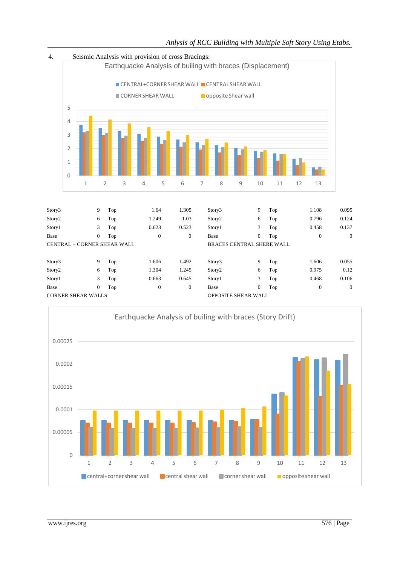

Base 0 Top 0 0 Base 0 Top 0 0

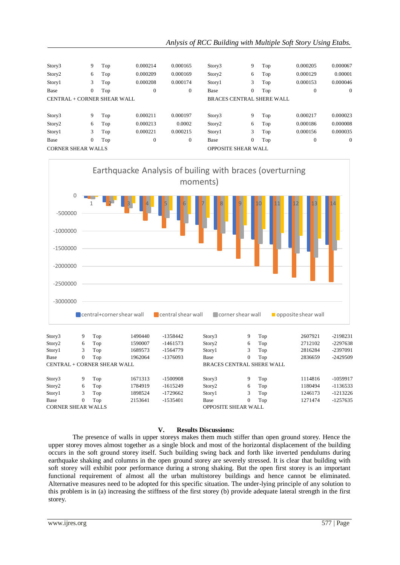| Story3                      | 9              | Top | 0.000214         | 0.000165     | Story3                     | 9                | Top | 0.000205 | 0.000067       |
|-----------------------------|----------------|-----|------------------|--------------|----------------------------|------------------|-----|----------|----------------|
| Story <sub>2</sub>          | 6              | Top | 0.000209         | 0.000169     | Story <sub>2</sub>         | 6                | Top | 0.000129 | 0.00001        |
| Story1                      | 3              | Top | 0.000208         | 0.000174     | Story1                     | 3                | Top | 0.000153 | 0.000046       |
| Base                        | $\overline{0}$ | Top | 0                | 0            | Base                       | $\boldsymbol{0}$ | Top | 0        | $\overline{0}$ |
| CENTRAL + CORNER SHEAR WALL |                |     |                  |              | BRACES CENTRAL SHERE WALL  |                  |     |          |                |
|                             |                |     |                  |              |                            |                  |     |          |                |
| Story3                      | 9              | Top | 0.000211         | 0.000197     | Story3                     | 9                | Top | 0.000217 | 0.000023       |
| Story2                      | 6              | Top | 0.000213         | 0.0002       | Story <sub>2</sub>         | 6                | Top | 0.000186 | 0.000008       |
| Story1                      | 3              | Top | 0.000221         | 0.000215     | Story1                     | 3                | Top | 0.000156 | 0.000035       |
| Base                        | $\overline{0}$ | Top | $\boldsymbol{0}$ | $\mathbf{0}$ | Base                       | $\boldsymbol{0}$ | Top | 0        | $\Omega$       |
| <b>CORNER SHEAR WALLS</b>   |                |     |                  |              | <b>OPPOSITE SHEAR WALL</b> |                  |     |          |                |
|                             |                |     |                  |              |                            |                  |     |          |                |



CORNER SHEAR WALLS OPPOSITE SHEAR WALL

## **V. Results Discussions:**

The presence of walls in upper storeys makes them much stiffer than open ground storey. Hence the upper storey moves almost together as a single block and most of the horizontal displacement of the building occurs in the soft ground storey itself. Such building swing back and forth like inverted pendulums during earthquake shaking and columns in the open ground storey are severely stressed. It is clear that building with soft storey will exhibit poor performance during a strong shaking. But the open first storey is an important functional requirement of almost all the urban multistorey buildings and hence cannot be eliminated. Alternative measures need to be adopted for this specific situation. The under-lying principle of any solution to this problem is in (a) increasing the stiffness of the first storey (b) provide adequate lateral strength in the first storey.